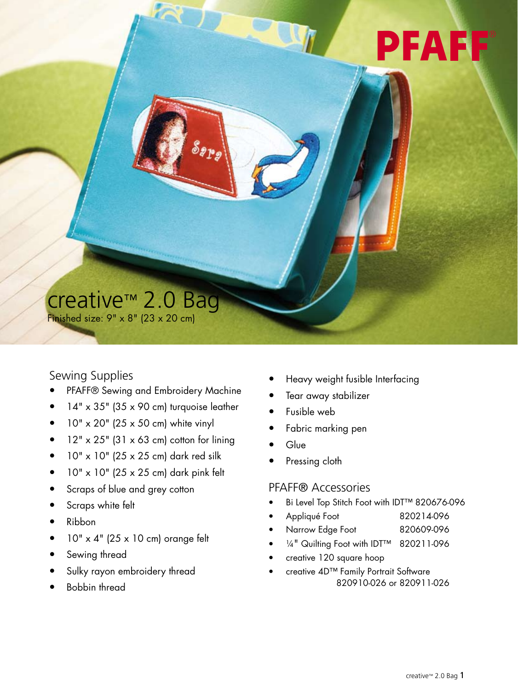# PFAFF

### creative™ 2.0 Bag

 $\mathcal{S}_{\bm{p}_{\bm{p}_{\bm{g}}}}$ 

Finished size:  $9" \times 8"$  (23  $\times$  20 cm)

#### Sewing Supplies

- PFAFF® Sewing and Embroidery Machine
- $14" \times 35"$  (35 x 90 cm) turquoise leather
- $\bullet$  10" x 20" (25 x 50 cm) white vinyl
- $\bullet$  12" x 25" (31 x 63 cm) cotton for lining
- $\bullet$  10" x 10" (25 x 25 cm) dark red silk
- $\bullet$  10" x 10" (25 x 25 cm) dark pink felt
- Scraps of blue and grey cotton
- Scraps white felt
- Ribbon
- $\bullet$  10" x 4" (25 x 10 cm) orange felt
- Sewing thread
- Sulky rayon embroidery thread
- Bobbin thread
- Heavy weight fusible Interfacing
- Tear away stabilizer
- Fusible web
- Fabric marking pen
- Glue
- Pressing cloth

#### Pfaff® Accessories

- y Bi Level Top Stitch Foot with IDT™ 820676-096
- Appliqué Foot 820214-096
- Narrow Edge Foot 820609-096
- 1/4" Quilting Foot with IDT™ 820211-096
- creative 120 square hoop
- creative 4D™ Family Portrait Software 820910-026 or 820911-026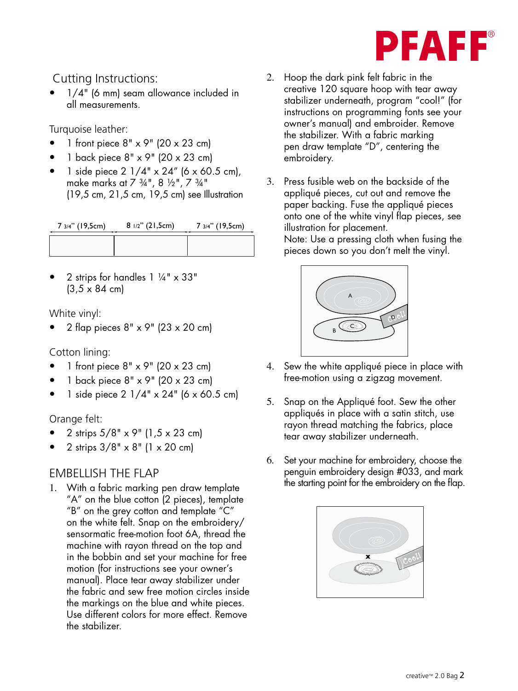

#### Cutting Instructions:

1/4" (6 mm) seam allowance included in all measurements. ile 3 illu 4 illu 4 illu 4 illu 4 illu 4 illu 4 illu 4 illu 4 illu 4 illu 4 illu 4 illu 4 illu 4 i<br>illu 4 illu 4 illu 4 illu 4 illu 4 illu 4 illu 4 illu 4 illu 4 illu 4 illu 4 illu 4 illu 4 illu 4 illu 4 illu<br>illu 4 illu

Turquoise leather:

- 1 front piece  $8" \times 9"$  (20  $\times$  23 cm)
- 1 back piece  $8" \times 9"$  (20  $\times$  23 cm)
- 1 side piece  $2 \frac{1}{4}$  x  $24$ " (6 x 60.5 cm), make marks at 7 ¾", 8 ½", 7 ¾" (19,5 cm, 21,5 cm, 19,5 cm) see Illustration

| 7 3/4" (19,5cm) | 8 1/2" (21,5cm) | 7 3/4" (19,5cm) |
|-----------------|-----------------|-----------------|
|                 |                 |                 |

2 strips for handles  $1 \frac{1}{4}$ " x 33"  $(3,5 \times 84 \text{ cm})$ 

White vinyl:

y 2 flap pieces 8" x 9" (23 x 20 cm)

Cotton lining:

- 1 front piece  $8" \times 9"$  (20  $\times$  23 cm)
- y 1 back piece 8" x 9" (20 x 23 cm)
- 1 side piece  $2 \frac{1}{4}$ " x  $24$ " (6 x 60.5 cm)

#### Orange felt:

- y 2 strips 5/8" x 9" (1,5 x 23 cm)
- y 2 strips 3/8" x 8" (1 x 20 cm)

#### EMBELLISH THE FLAP

1. With a fabric marking pen draw template "A" on the blue cotton (2 pieces), template "B" on the grey cotton and template "C" on the white felt. Snap on the embroidery/ sensormatic free-motion foot 6A, thread the A machine with rayon thread on the top and in the bobbin and set your machine for free motion (for instructions see your owner's manual). Place tear away stabilizer under the fabric and sew free motion circles inside the markings on the blue and white pieces. Use different colors for more effect. Remove the stabilizer.  $\sum_{i=1}^{n}$ elt<br>ee<br>ra<br>stru 7<br>3<br>0 :<br>0 :

- 2. Hoop the dark pink felt fabric in the creative 120 square hoop with tear away stabilizer underneath, program "cool!" (for instructions on programming fonts see your owner's manual) and embroider. Remove the stabilizer. With a fabric marking pen draw template "D", centering the embroidery.  $\ddot{\phantom{a}}$
- 3. Press fusible web on the backside of the appliqué pieces, cut out and remove the paper backing. Fuse the appliqué pieces onto one of the white vinyl flap pieces, see illustration for placement.

Note: Use a pressing cloth when fusing the ivoie. Ose a pressing ciom when fusing me<br>pieces down so you don't melt the vinyl.



- 4. Sew the white appliqué piece in place with free-motion using a zigzag movement.
- 5. Snap on the Appliqué foot. Sew the other appliqués in place with a satin stitch, use rayon thread matching the fabrics, place tear away stabilizer underneath.
- 6. Set your machine for embroidery, choose the penguin embroidery design #033, and mark the starting point for the embroidery on the flap.

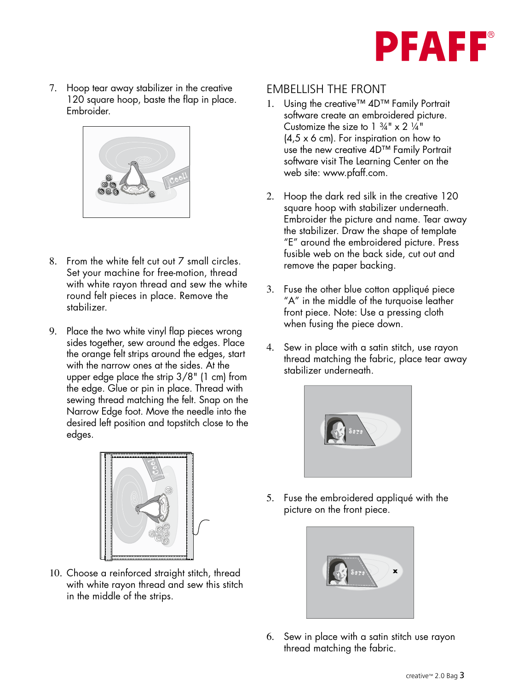

7. Hoop tear away stabilizer in the creative 120 square hoop, baste the flap in place. Embroider. illu 3 illu 3 illu 4 illu 4 illu 4 illu 4 illu 4 illu 4 illu 4 illu 4 illu 4 illu 4 illu 4 illu 4 illu 4 illu<br>Di structura della contratta della contratta della contratta della contratta della contratta della contratta d



- 8. From the white felt cut out  $7$  small circles. Set your machine for free-motion, thread with white rayon thread and sew the white round felt pieces in place. Remove the stabilizer. e-n<br>ar<br>e.
- 9. Place the two white vinyl flap pieces wrong sides together, sew around the edges. Place the orange felt strips around the edges, start with the narrow ones at the sides. At the upper edge place the strip  $3/8$ " (1 cm) from  $\quad$  stabilizer underneath. the edge. Glue or pin in place. Thread with sewing thread matching the felt. Snap on the Narrow Edge foot. Move the needle into the desired left position and topstitch close to the edges. illu 3 illustra 4 illustra 4 illustratore all'antica 1 il 1 illustratore in dividu 1 il 1 illustratore in divi 7 3/4" (19,5cm) 8 1/2" (21,5cm)



10. Choose a reinforced straight stitch, thread with white rayon thread and sew this stitch in the middle of the strips.  $\overline{10}$ .

#### EMBELLISH THE FRONT

- 1. Using the creative™  $4D^{\text{TM}}$  Family Portrait software create an embroidered picture. Customize the size to  $1 \frac{3}{4}$ " x 2  $\frac{1}{4}$ " (4,5 x 6 cm). For inspiration on how to use the new creative 4D™ Family Portrait A software visit The Learning Center on the web site: www.pfaff.com. 7 3<br>| 1<br>| 11<br>| 11
- 2. Hoop the dark red silk in the creative 120 square hoop with stabilizer underneath. Embroider the picture and name. Tear away the stabilizer. Draw the shape of template<br>"E" around the embrejdered picture. Press "E" around the embroidered picture. Press Frace the emphasise presser is sub-<br>fusible web on the back side, cut out and remove the paper backing. 7 she<br>Pr. th or<br>pre er nic N<br>J th
	- 3. Fuse the other blue cotton appliqué piece "A" in the middle of the turquoise leather front piece. Note: Use a pressing cloth when fusing the piece down.
	- 4. Sew in place with a satin stitch, use rayon thread matching the fabric, place tear away stabilizer underneath.



5. Fuse the embroidered appliqué with the picture on the front piece.



6. Sew in place with a satin stitch use rayon thread matching the fabric.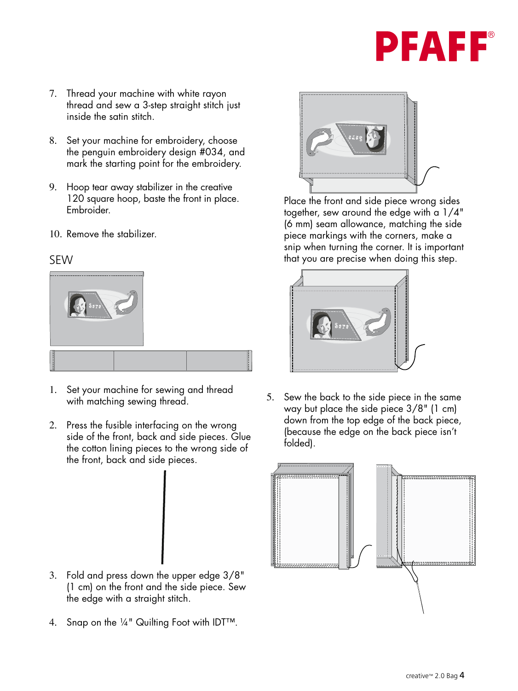## PFAFF

- 7. Thread your machine with white rayon thread and sew a 3-step straight stitch just inside the satin stitch. re<br>re<br>sid
- 8. Set your machine for embroidery, choose the penguin embroidery design #034, and mark the starting point for the embroidery.
- 9. Hoop tear away stabilizer in the creative 120 square hoop, baste the front in place. Embroider.
- 10. Remove the stabilizer.

#### SEW



- 1. Set your machine for sewing and thread with matching sewing thread.
- 2. Press the fusible interfacing on the wrong side of the front, back and side pieces. Glue the cotton lining pieces to the wrong side of the livid<br>the frant, back and side pieces the front, back and side pieces.

- 3. Fold and press down the upper edge 3/8" (1 cm) on the front and the side piece. Sew the edge with a straight stitch.  $\hspace{0.1mm}$
- 4. Snap on the ¼" Quilting Foot with IDT™.



Place the front and side piece wrong sides together, sew around the edge with a 1/4" (6 mm) seam allowance, matching the side<br> piece markings with the corners, make a snip when turning the corner. It is important that you are precise when doing this step.



In the same in the same in the same in the same in the same in the same in the same in the same is the same in the same in the same in the same in the same in the same in the same in the same in the same in the same in the way but place the side piece 3/8" (1 cm) down from the top edge of the back piece, (because the edge on the back piece isn't folded).

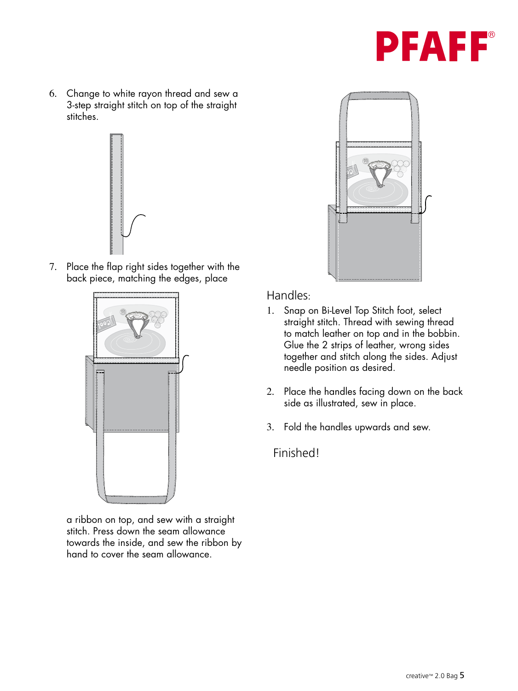

6. Change to white rayon thread and sew a 3-step straight stitch on top of the straight stitches.  $S$ illuites.



7. Place the flap right sides together with the back piece, matching the edges, place



a ribbon on top, and sew with a straight stitch. Press down the seam allowance towards the inside, and sew the ribbon by hand to cover the seam allowance.



#### Handles:

- 1. Snap on Bi-Level Top Stitch foot, select straight stitch. Thread with sewing thread to match leather on top and in the bobbin. Glue the 2 strips of leather, wrong sides together and stitch along the sides. Adjust needle position as desired.
- 2. Place the handles facing down on the back side as illustrated, sew in place.
- 3. Fold the handles upwards and sew.

Finished!